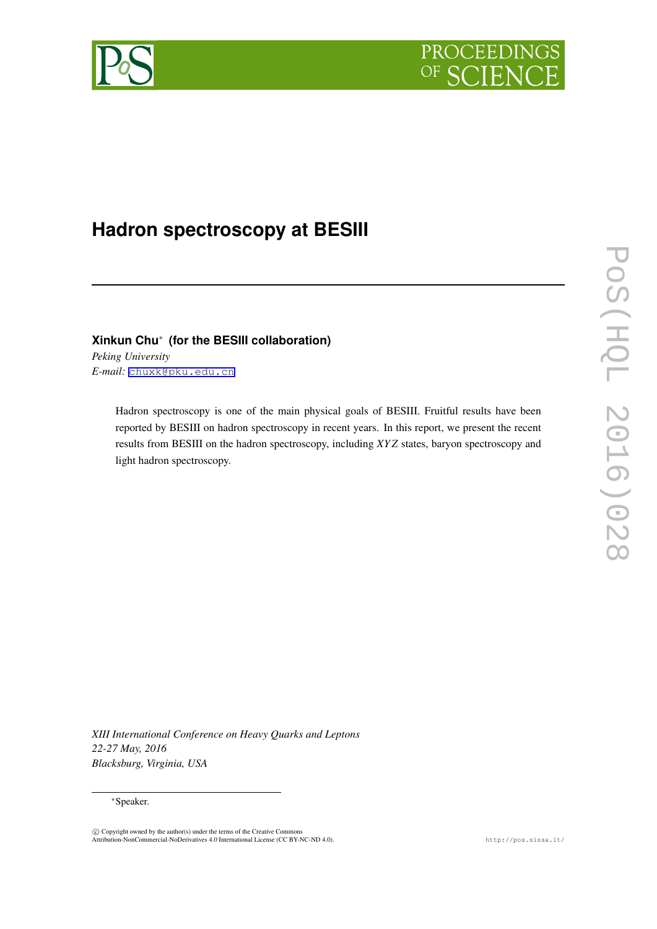



# **Hadron spectroscopy at BESIII**

# **Xinkun Chu***∗* **(for the BESIII collaboration)**

*Peking University E-mail:* [chuxk@pku.edu.cn](mailto:chuxk@pku.edu.cn)

> Hadron spectroscopy is one of the main physical goals of BESIII. Fruitful results have been reported by BESIII on hadron spectroscopy in recent years. In this report, we present the recent results from BESIII on the hadron spectroscopy, including *XY Z* states, baryon spectroscopy and light hadron spectroscopy.

*XIII International Conference on Heavy Quarks and Leptons 22-27 May, 2016 Blacksburg, Virginia, USA*

#### *∗*Speaker.

 $\circled{c}$  Copyright owned by the author(s) under the terms of the Creative Commons Attribution-NonCommercial-NoDerivatives 4.0 International License (CC BY-NC-ND 4.0). http://pos.sissa.it/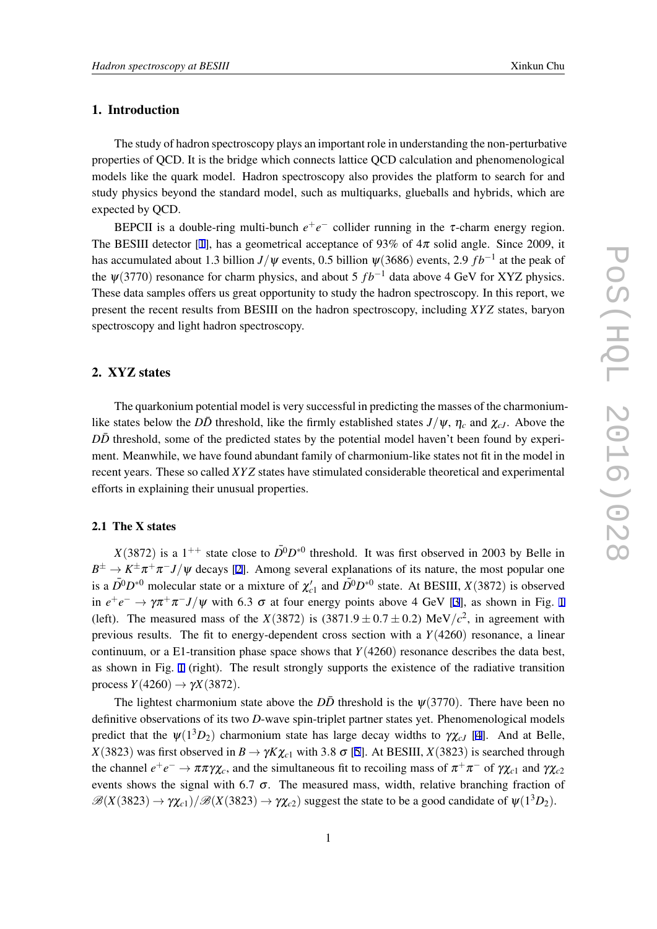# 1. Introduction

The study of hadron spectroscopy plays an important role in understanding the non-perturbative properties of QCD. It is the bridge which connects lattice QCD calculation and phenomenological models like the quark model. Hadron spectroscopy also provides the platform to search for and study physics beyond the standard model, such as multiquarks, glueballs and hybrids, which are expected by QCD.

BEPCII is a double-ring multi-bunch  $e^+e^-$  collider running in the  $\tau$ -charm energy region. The BESIII detector [\[1\]](#page-7-0), has a geometrical acceptance of 93% of  $4\pi$  solid angle. Since 2009, it has accumulated about 1.3 billion *J*/ $\psi$  events, 0.5 billion  $\psi(3686)$  events, 2.9  $fb^{-1}$  at the peak of the  $\psi(3770)$  resonance for charm physics, and about 5  $fb^{-1}$  data above 4 GeV for XYZ physics. These data samples offers us great opportunity to study the hadron spectroscopy. In this report, we present the recent results from BESIII on the hadron spectroscopy, including *XY Z* states, baryon spectroscopy and light hadron spectroscopy.

# 2. XYZ states

The quarkonium potential model is very successful in predicting the masses of the charmoniumlike states below the *DD* threshold, like the firmly established states  $J/\psi$ ,  $\eta_c$  and  $\chi_{cJ}$ . Above the *DD*¯ threshold, some of the predicted states by the potential model haven't been found by experiment. Meanwhile, we have found abundant family of charmonium-like states not fit in the model in recent years. These so called *XY Z* states have stimulated considerable theoretical and experimental efforts in explaining their unusual properties.

# 2.1 The X states

*X*(3872) is a 1<sup>++</sup> state close to  $\bar{D}^0 D^{*0}$  threshold. It was first observed in 2003 by Belle in  $B^{\pm} \to K^{\pm} \pi^{+} \pi^{-} J/\psi$  decays [[2](#page-7-0)]. Among several explanations of its nature, the most popular one is a  $\bar{D}^0 D^{*0}$  molecular state or a mixture of  $\chi'_{c1}$  and  $\bar{D}^0 D^{*0}$  state. At BESIII,  $X(3872)$  is observed in  $e^+e^- \to \gamma \pi^+\pi^- J/\psi$  with 6.3  $\sigma$  at four energy points above 4 GeV [\[3\]](#page-7-0), as shown in Fig. [1](#page-2-0) (left). The measured mass of the *X*(3872) is (3871.9  $\pm$  0.7  $\pm$  0.2) MeV/ $c^2$ , in agreement with previous results. The fit to energy-dependent cross section with a *Y*(4260) resonance, a linear continuum, or a E1-transition phase space shows that  $Y(4260)$  resonance describes the data best, as shown in Fig. [1](#page-2-0) (right). The result strongly supports the existence of the radiative transition process  $Y(4260) \rightarrow \gamma X(3872)$ .

The lightest charmonium state above the  $D\bar{D}$  threshold is the  $\psi(3770)$ . There have been no definitive observations of its two *D*-wave spin-triplet partner states yet. Phenomenological models predict that the  $\psi(1^3D_2)$  charmonium state has large decay widths to  $\gamma \chi_{cJ}$  [\[4\]](#page-7-0). And at Belle, *X*(3823) was first observed in  $B \to \gamma K \chi_{c1}$  with 3.8  $\sigma$  [[5\]](#page-7-0). At BESIII, *X*(3823) is searched through the channel  $e^+e^- \to \pi \pi \gamma \chi_c$ , and the simultaneous fit to recoiling mass of  $\pi^+\pi^-$  of  $\gamma \chi_{c1}$  and  $\gamma \chi_{c2}$ events shows the signal with 6.7  $\sigma$ . The measured mass, width, relative branching fraction of  $\mathscr{B}(X(3823) \to \gamma \chi_{c1})/\mathscr{B}(X(3823) \to \gamma \chi_{c2})$  suggest the state to be a good candidate of  $\psi(1^3D_2)$ .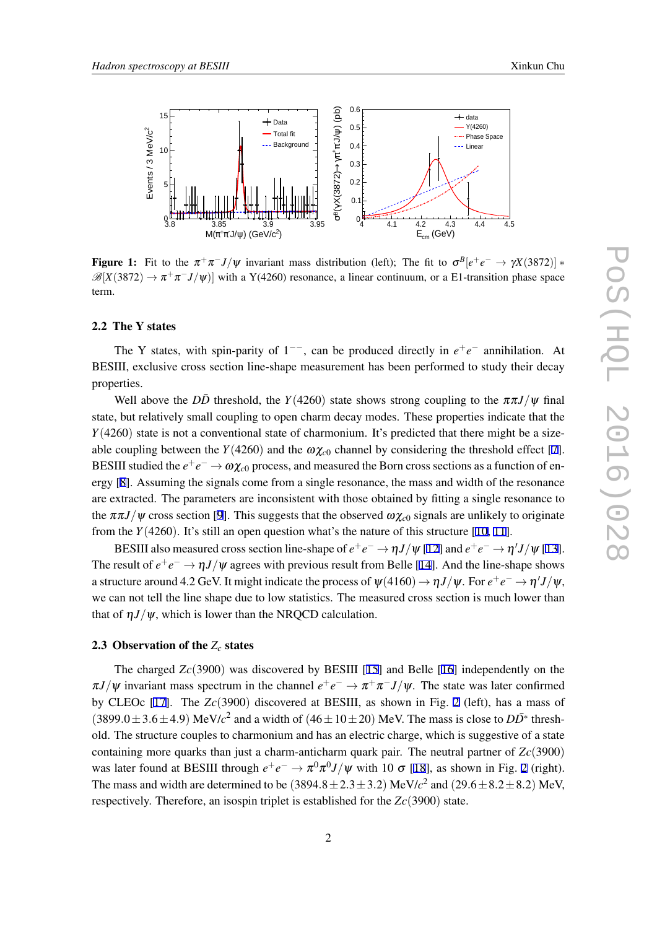<span id="page-2-0"></span>

**Figure 1:** Fit to the  $\pi^{+}\pi^{-}J/\psi$  invariant mass distribution (left); The fit to  $\sigma^{B}[e^{+}e^{-} \to \gamma X(3872)]$  \*  $\mathscr{B}[X(3872) \to \pi^+\pi^- J/\psi]$  with a Y(4260) resonance, a linear continuum, or a E1-transition phase space term.

# 2.2 The Y states

The Y states, with spin-parity of 1<sup>-−</sup>, can be produced directly in  $e^+e^-$  annihilation. At BESIII, exclusive cross section line-shape measurement has been performed to study their decay properties.

Well above the *DD* threshold, the *Y*(4260) state shows strong coupling to the  $\pi \pi J/\psi$  final state, but relatively small coupling to open charm decay modes. These properties indicate that the *Y*(4260) state is not a conventional state of charmonium. It's predicted that there might be a sizeable coupling between the *Y*(4260) and the  $\omega \chi_{c0}$  channel by considering the threshold effect [\[7\]](#page-7-0). BESIII studied the  $e^+e^-\to\omega\chi_{c0}$  process, and measured the Born cross sections as a function of energy [[8](#page-7-0)]. Assuming the signals come from a single resonance, the mass and width of the resonance are extracted. The parameters are inconsistent with those obtained by fitting a single resonance to the  $\pi \pi J/\psi$  cross section [[9](#page-7-0)]. This suggests that the observed  $\omega \chi_{c0}$  signals are unlikely to originate from the  $Y(4260)$ . It's still an open question what's the nature of this structure [\[10](#page-7-0), [11](#page-7-0)].

BESIII also measured cross section line-shape of  $e^+e^- \to \eta J/\psi$  [[12\]](#page-7-0) and  $e^+e^- \to \eta' J/\psi$  [[13\]](#page-7-0). The result of  $e^+e^- \to \eta J/\psi$  agrees with previous result from Belle [\[14\]](#page-7-0). And the line-shape shows a structure around 4.2 GeV. It might indicate the process of  $\psi(4160) \to \eta J/\psi$ . For  $e^+e^- \to \eta' J/\psi$ , we can not tell the line shape due to low statistics. The measured cross section is much lower than that of  $\eta J/\psi$ , which is lower than the NRQCD calculation.

# 2.3 Observation of the *Z<sup>c</sup>* states

The charged *Zc*(3900) was discovered by BESIII [\[15\]](#page-7-0) and Belle [\[16](#page-7-0)] independently on the  $\pi J/\psi$  invariant mass spectrum in the channel  $e^+e^- \to \pi^+\pi^- J/\psi$ . The state was later confirmed by CLEOc [\[17](#page-7-0)]. The *Zc*(3900) discovered at BESIII, as shown in Fig. [2](#page-3-0) (left), has a mass of  $(3899.0 \pm 3.6 \pm 4.9)$  MeV/ $c^2$  and a width of  $(46 \pm 10 \pm 20)$  MeV. The mass is close to  $D\overline{D}^*$  threshold. The structure couples to charmonium and has an electric charge, which is suggestive of a state containing more quarks than just a charm-anticharm quark pair. The neutral partner of *Zc*(3900) was later found at BESIII through  $e^+e^- \to \pi^0 \pi^0 J/\psi$  with 10  $\sigma$  [[18\]](#page-7-0), as shown in Fig. [2](#page-3-0) (right). The mass and width are determined to be  $(3894.8 \pm 2.3 \pm 3.2)$  MeV/ $c^2$  and  $(29.6 \pm 8.2 \pm 8.2)$  MeV, respectively. Therefore, an isospin triplet is established for the *Zc*(3900) state.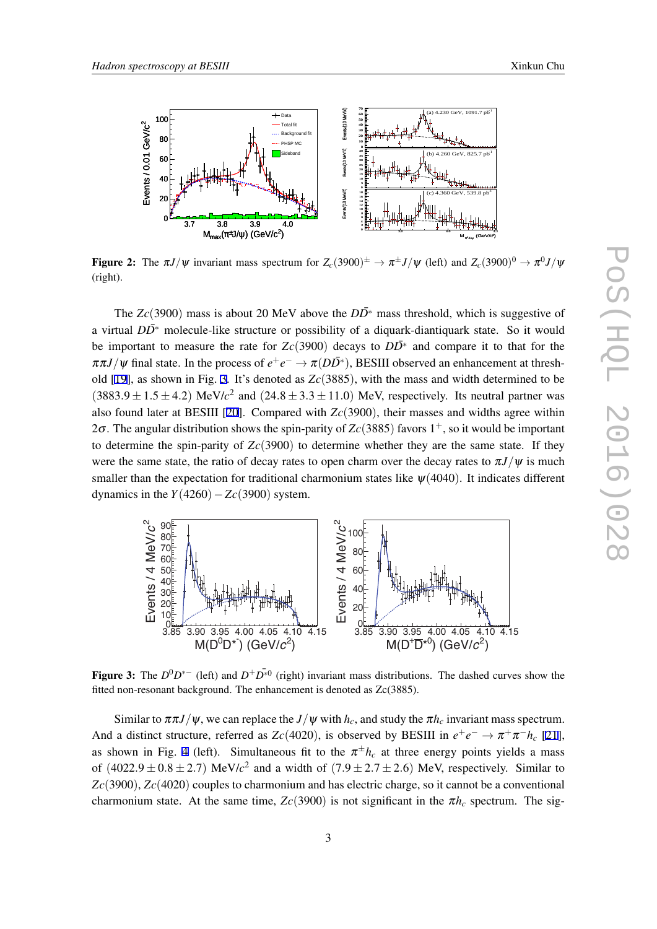<span id="page-3-0"></span>

Figure 2: The  $\pi J/\psi$  invariant mass spectrum for  $Z_c(3900)^{\pm} \to \pi^{\pm} J/\psi$  (left) and  $Z_c(3900)^0 \to \pi^0 J/\psi$ (right).

The  $Zc(3900)$  mass is about 20 MeV above the  $D\overline{D}^*$  mass threshold, which is suggestive of a virtual *DD*<sup>∗</sup> molecule-like structure or possibility of a diquark-diantiquark state. So it would be important to measure the rate for  $Zc(3900)$  decays to  $D\overline{D}^*$  and compare it to that for the  $\pi \pi J/\psi$  final state. In the process of  $e^+e^- \to \pi (D\bar{D^*})$ , BESIII observed an enhancement at threshold [\[19\]](#page-7-0), as shown in Fig. 3. It's denoted as *Zc*(3885), with the mass and width determined to be  $(3883.9 \pm 1.5 \pm 4.2)$  MeV/ $c^2$  and  $(24.8 \pm 3.3 \pm 11.0)$  MeV, respectively. Its neutral partner was also found later at BESIII [\[20](#page-7-0)]. Compared with *Zc*(3900), their masses and widths agree within 2 $\sigma$ . The angular distribution shows the spin-parity of  $Z_c(3885)$  favors 1<sup>+</sup>, so it would be important to determine the spin-parity of  $Zc(3900)$  to determine whether they are the same state. If they were the same state, the ratio of decay rates to open charm over the decay rates to  $\pi J/\psi$  is much smaller than the expectation for traditional charmonium states like  $\psi(4040)$ . It indicates different dynamics in the *Y*(4260)*−Zc*(3900) system.



Figure 3: The  $D^0D^{*-}$  (left) and  $D^+D^{\bar{*}0}$  (right) invariant mass distributions. The dashed curves show the fitted non-resonant background. The enhancement is denoted as Zc(3885).

Similar to  $\pi \pi J/\psi$ , we can replace the  $J/\psi$  with  $h_c$ , and study the  $\pi h_c$  invariant mass spectrum. And a distinct structure, referred as  $Zc(4020)$ , is observed by BESIII in  $e^+e^- \to \pi^+\pi^-h_c$  [[21\]](#page-7-0), as shown in Fig. [4](#page-4-0) (left). Simultaneous fit to the  $\pi^{\pm}h_c$  at three energy points yields a mass of  $(4022.9 \pm 0.8 \pm 2.7)$  MeV/ $c^2$  and a width of  $(7.9 \pm 2.7 \pm 2.6)$  MeV, respectively. Similar to *Zc*(3900), *Zc*(4020) couples to charmonium and has electric charge, so it cannot be a conventional charmonium state. At the same time,  $Zc(3900)$  is not significant in the  $\pi h_c$  spectrum. The sig-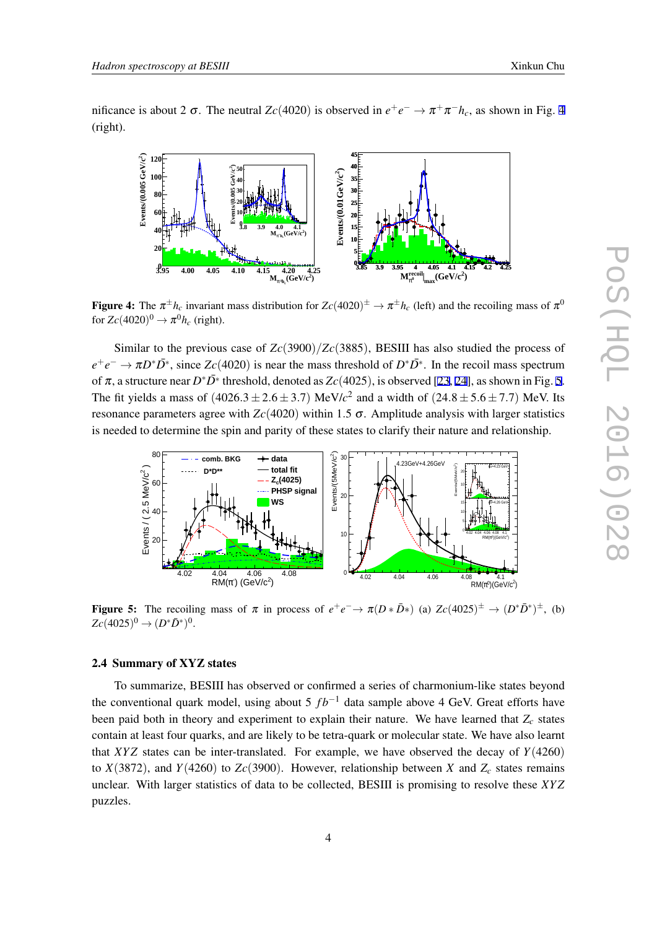<span id="page-4-0"></span>nificance is about 2  $\sigma$ . The neutral *Zc*(4020) is observed in  $e^+e^- \to \pi^+\pi^-h_c$ , as shown in Fig. 4 (right).



Figure 4: The  $\pi^{\pm}h_c$  invariant mass distribution for  $Zc(4020)^{\pm} \to \pi^{\pm}h_c$  (left) and the recoiling mass of  $\pi^0$ for  $Zc(4020)^0 \rightarrow \pi^0 h_c$  (right).

Similar to the previous case of *Zc*(3900)*/Zc*(3885), BESIII has also studied the process of  $e^+e^- \to \pi D^* \bar{D^*}$ , since *Zc*(4020) is near the mass threshold of  $D^* \bar{D^*}$ . In the recoil mass spectrum of  $\pi$ , a structure near  $D^*\bar{D^*}$  threshold, denoted as  $Zc(4025)$ , is observed [[23](#page-8-0), [24](#page-8-0)], as shown in Fig. 5. The fit yields a mass of  $(4026.3 \pm 2.6 \pm 3.7)$  MeV/ $c^2$  and a width of  $(24.8 \pm 5.6 \pm 7.7)$  MeV. Its resonance parameters agree with  $Zc(4020)$  within 1.5 σ. Amplitude analysis with larger statistics is needed to determine the spin and parity of these states to clarify their nature and relationship.



Figure 5: The recoiling mass of  $\pi$  in process of  $e^+e^- \to \pi(D*\bar{D}^*)$  (a)  $Zc(4025)^{\pm} \to (D^*\bar{D}^*)^{\pm}$ , (b)  $Zc(4025)^0 \to (D^*\bar{D}^*)^0.$ 

# 2.4 Summary of XYZ states

To summarize, BESIII has observed or confirmed a series of charmonium-like states beyond the conventional quark model, using about 5  $fb^{-1}$  data sample above 4 GeV. Great efforts have been paid both in theory and experiment to explain their nature. We have learned that *Z<sup>c</sup>* states contain at least four quarks, and are likely to be tetra-quark or molecular state. We have also learnt that *XY Z* states can be inter-translated. For example, we have observed the decay of *Y*(4260) to  $X(3872)$ , and  $Y(4260)$  to  $Zc(3900)$ . However, relationship between X and  $Z_c$  states remains unclear. With larger statistics of data to be collected, BESIII is promising to resolve these *XY Z* puzzles.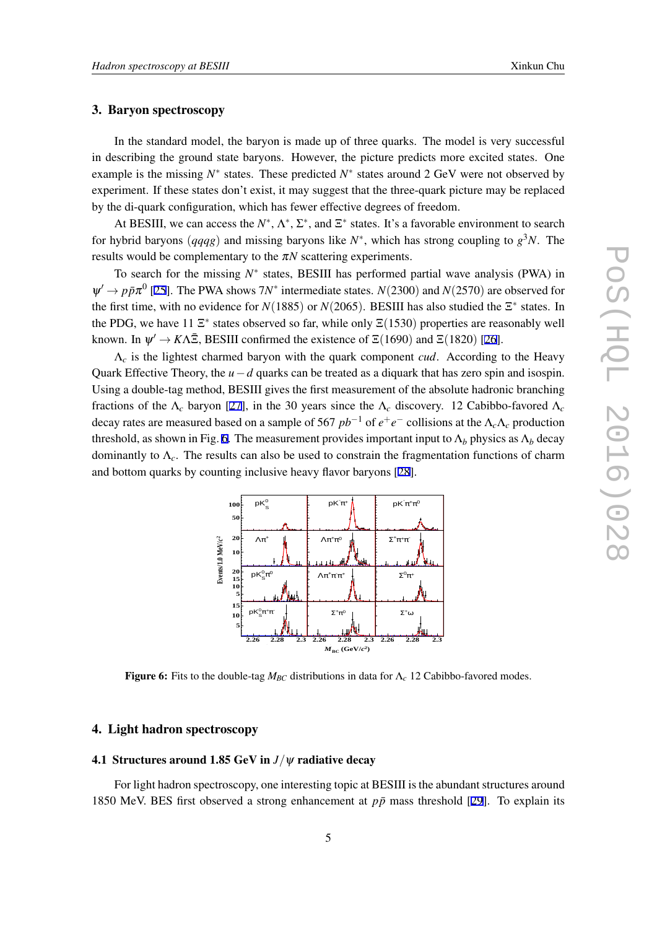#### 3. Baryon spectroscopy

In the standard model, the baryon is made up of three quarks. The model is very successful in describing the ground state baryons. However, the picture predicts more excited states. One example is the missing *N ∗* states. These predicted *N ∗* states around 2 GeV were not observed by experiment. If these states don't exist, it may suggest that the three-quark picture may be replaced by the di-quark configuration, which has fewer effective degrees of freedom.

At BESIII, we can access the  $N^*$ ,  $\Lambda^*$ ,  $\Sigma^*$ , and  $\Sigma^*$  states. It's a favorable environment to search for hybrid baryons (*qqqg*) and missing baryons like *N ∗* , which has strong coupling to *g* <sup>3</sup>*N*. The results would be complementary to the <sup>π</sup>*N* scattering experiments.

To search for the missing *N ∗* states, BESIII has performed partial wave analysis (PWA) in  $\Psi' \rightarrow p\bar{p}\pi^0$  [[25\]](#page-8-0). The PWA shows 7*N*<sup>\*</sup> intermediate states. *N*(2300) and *N*(2570) are observed for the first time, with no evidence for  $N(1885)$  or  $N(2065)$ . BESIII has also studied the  $\Xi^*$  states. In the PDG, we have 11 Ξ<sup>\*</sup> states observed so far, while only Ξ(1530) properties are reasonably well known. In  $\psi' \to K\Lambda \bar{\Xi}$ , BESIII confirmed the existence of  $\Xi(1690)$  and  $\Xi(1820)$  [\[26](#page-8-0)].

Λ*<sup>c</sup>* is the lightest charmed baryon with the quark component *cud*. According to the Heavy Quark Effective Theory, the *u−d* quarks can be treated as a diquark that has zero spin and isospin. Using a double-tag method, BESIII gives the first measurement of the absolute hadronic branching fractions of the  $\Lambda_c$  baryon [[27\]](#page-8-0), in the 30 years since the  $\Lambda_c$  discovery. 12 Cabibbo-favored  $\Lambda_c$ decay rates are measured based on a sample of 567 *pb−*<sup>1</sup> of *e* +*e <sup>−</sup>* collisions at the Λ*c*Λ*<sup>c</sup>* production threshold, as shown in Fig. 6. The measurement provides important input to  $\Lambda_b$  physics as  $\Lambda_b$  decay dominantly to Λ*c*. The results can also be used to constrain the fragmentation functions of charm and bottom quarks by counting inclusive heavy flavor baryons [[28\]](#page-8-0).



Figure 6: Fits to the double-tag  $M_{BC}$  distributions in data for  $\Lambda_c$  12 Cabibbo-favored modes.

#### 4. Light hadron spectroscopy

#### 4.1 Structures around 1.85 GeV in *J/*ψ radiative decay

For light hadron spectroscopy, one interesting topic at BESIII is the abundant structures around 1850 MeV. BES first observed a strong enhancement at  $p\bar{p}$  mass threshold [[29\]](#page-8-0). To explain its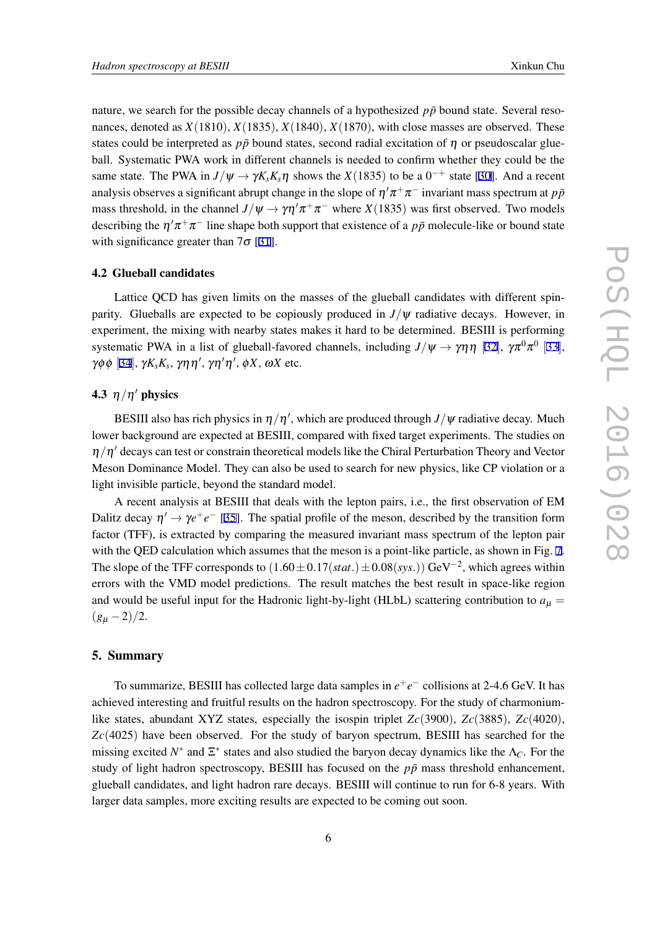nature, we search for the possible decay channels of a hypothesized  $p\bar{p}$  bound state. Several resonances, denoted as *X*(1810), *X*(1835), *X*(1840), *X*(1870), with close masses are observed. These states could be interpreted as  $p\bar{p}$  bound states, second radial excitation of  $\eta$  or pseudoscalar glueball. Systematic PWA work in different channels is needed to confirm whether they could be the same state. The PWA in  $J/\psi \rightarrow \gamma K_s K_s \eta$  shows the  $X(1835)$  to be a 0<sup>-+</sup> state [[30\]](#page-8-0). And a recent analysis observes a significant abrupt change in the slope of  $\eta/\pi^+\pi^-$  invariant mass spectrum at  $p\bar{p}$ mass threshold, in the channel  $J/\psi \to \gamma \eta' \pi^+ \pi^-$  where *X*(1835) was first observed. Two models describing the  $\eta' \pi^+ \pi^-$  line shape both support that existence of a  $p\bar{p}$  molecule-like or bound state with significance greater than  $7\sigma$  [\[31](#page-8-0)].

#### 4.2 Glueball candidates

Lattice QCD has given limits on the masses of the glueball candidates with different spinparity. Glueballs are expected to be copiously produced in  $J/\psi$  radiative decays. However, in experiment, the mixing with nearby states makes it hard to be determined. BESIII is performing systematic PWA in a list of glueball-favored channels, including  $J/\psi \to \gamma \eta \eta$  [[32](#page-8-0)],  $\gamma \pi^0 \pi^0$  [[33](#page-8-0)], γϕ ϕ [[34](#page-8-0)], <sup>γ</sup>*KsK<sup>s</sup>* , γηη *′* , γη *′*η *′* , ϕ*X*, <sup>ω</sup>*X* etc.

#### 4.3 η*/*η *′* physics

BESIII also has rich physics in η*/*η *′* , which are produced through *J/*ψ radiative decay. Much lower background are expected at BESIII, compared with fixed target experiments. The studies on η*/*η *′* decays can test or constrain theoretical models like the Chiral Perturbation Theory and Vector Meson Dominance Model. They can also be used to search for new physics, like CP violation or a light invisible particle, beyond the standard model.

A recent analysis at BESIII that deals with the lepton pairs, i.e., the first observation of EM Dalitz decay  $\eta' \to \gamma e^+e^-$  [\[35](#page-8-0)]. The spatial profile of the meson, described by the transition form factor (TFF), is extracted by comparing the measured invariant mass spectrum of the lepton pair with the QED calculation which assumes that the meson is a point-like particle, as shown in Fig. [7](#page-7-0). The slope of the TFF corresponds to (1*.*60*±*0*.*17(*stat.*)*±*0*.*08(*sys.*)) GeV*−*<sup>2</sup> , which agrees within errors with the VMD model predictions. The result matches the best result in space-like region and would be useful input for the Hadronic light-by-light (HLbL) scattering contribution to  $a<sub>u</sub> =$  $(g_{\mu} - 2)/2$ .

#### 5. Summary

To summarize, BESIII has collected large data samples in *e* +*e −* collisions at 2-4.6 GeV. It has achieved interesting and fruitful results on the hadron spectroscopy. For the study of charmoniumlike states, abundant XYZ states, especially the isospin triplet *Zc*(3900), *Zc*(3885), *Zc*(4020), *Zc*(4025) have been observed. For the study of baryon spectrum, BESIII has searched for the missing excited  $N^*$  and  $\Xi^*$  states and also studied the baryon decay dynamics like the  $\Lambda_C$ . For the study of light hadron spectroscopy, BESIII has focused on the  $p\bar{p}$  mass threshold enhancement, glueball candidates, and light hadron rare decays. BESIII will continue to run for 6-8 years. With larger data samples, more exciting results are expected to be coming out soon.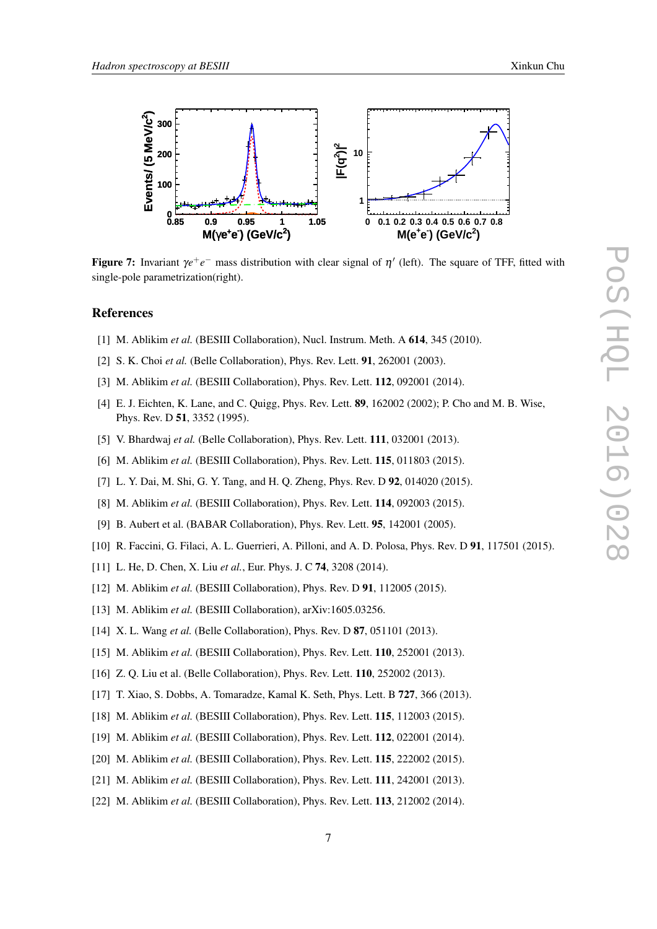PoS(HQL 2016)028

POS(EQL 2016)028

<span id="page-7-0"></span>

**Figure 7:** Invariant  $\gamma e^+e^-$  mass distribution with clear signal of  $\eta'$  (left). The square of TFF, fitted with single-pole parametrization(right).

# References

- [1] M. Ablikim et al. (BESIII Collaboration), Nucl. Instrum. Meth. A **614**, 345 (2010).
- [2] S. K. Choi *et al.* (Belle Collaboration), Phys. Rev. Lett. 91, 262001 (2003).
- [3] M. Ablikim *et al.* (BESIII Collaboration), Phys. Rev. Lett. **112**, 092001 (2014).
- [4] E. J. Eichten, K. Lane, and C. Quigg, Phys. Rev. Lett. 89, 162002 (2002); P. Cho and M. B. Wise, Phys. Rev. D 51, 3352 (1995).
- [5] V. Bhardwaj *et al.* (Belle Collaboration), Phys. Rev. Lett. **111**, 032001 (2013).
- [6] M. Ablikim *et al.* (BESIII Collaboration), Phys. Rev. Lett. **115**, 011803 (2015).
- [7] L. Y. Dai, M. Shi, G. Y. Tang, and H. Q. Zheng, Phys. Rev. D 92, 014020 (2015).
- [8] M. Ablikim *et al.* (BESIII Collaboration), Phys. Rev. Lett. 114, 092003 (2015).
- [9] B. Aubert et al. (BABAR Collaboration), Phys. Rev. Lett. 95, 142001 (2005).
- [10] R. Faccini, G. Filaci, A. L. Guerrieri, A. Pilloni, and A. D. Polosa, Phys. Rev. D 91, 117501 (2015).
- [11] L. He, D. Chen, X. Liu *et al.*, Eur. Phys. J. C 74, 3208 (2014).
- [12] M. Ablikim *et al.* (BESIII Collaboration), Phys. Rev. D **91**, 112005 (2015).
- [13] M. Ablikim *et al.* (BESIII Collaboration), arXiv:1605.03256.
- [14] X. L. Wang *et al.* (Belle Collaboration), Phys. Rev. D **87**, 051101 (2013).
- [15] M. Ablikim *et al.* (BESIII Collaboration), Phys. Rev. Lett. **110**, 252001 (2013).
- [16] Z. Q. Liu et al. (Belle Collaboration), Phys. Rev. Lett. **110**, 252002 (2013).
- [17] T. Xiao, S. Dobbs, A. Tomaradze, Kamal K. Seth, Phys. Lett. B **727**, 366 (2013).
- [18] M. Ablikim *et al.* (BESIII Collaboration), Phys. Rev. Lett. **115**, 112003 (2015).
- [19] M. Ablikim *et al.* (BESIII Collaboration), Phys. Rev. Lett. **112**, 022001 (2014).
- [20] M. Ablikim *et al.* (BESIII Collaboration), Phys. Rev. Lett. **115**, 222002 (2015).
- [21] M. Ablikim *et al.* (BESIII Collaboration), Phys. Rev. Lett. 111, 242001 (2013).
- [22] M. Ablikim *et al.* (BESIII Collaboration), Phys. Rev. Lett. **113**, 212002 (2014).

7